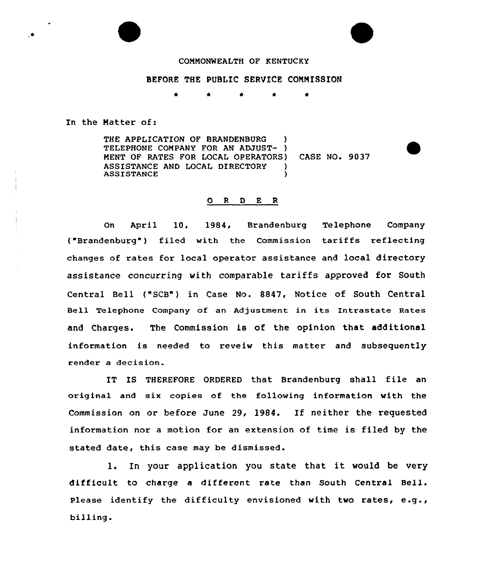

## BEFORE THE PUBLIC SERVICE COMMISSION

\* \* \*

In the Matter of:

THE APPLICATION OF BRANDENBURG TELEPHONE COMPANY FOR AN ADJUST- ) MENT OF RATES FOR LOCAL OPERATORS) CASE NO. 9037 ASSISTANCE AND LOCAL DIRECTORY )<br>ASSISTANCE **ASSISTANCE** 

## 0 R <sup>D</sup> E R

On April 10, 1984, Brandenburg Telephone Company ("Brandenburg") filed with the Commission tariffs reflecting changes of rates for local operator assistance and local directory assistance concurring with comparable tariffs approved for South Central Bell ("SCB") in Case No. 8847, Notice of South Central Bell Telephone Company of an Adjustment in its Intrastate Rates and Charges. The Commission is of the opinion that additional information is needed to reveiw this matter and subsequently render a decision.

IT IS THEREFORE ORDERED that Brandenburg shall file an original and six copies of the following information with the Commission on or before June 29, 1984. If neither the requested information nor a motion for an extension of time is filed by the stated date, this case may be dismissed.

l. In your application you state that it would be very difficult to charge <sup>a</sup> different rate than South Central Bell. Please identify the difficulty envisioned with two rates, e.g., billing.